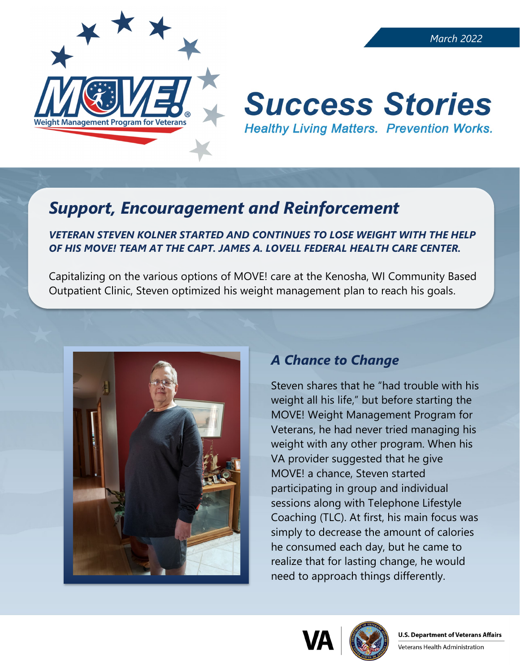

# **Success Stories Healthy Living Matters. Prevention Works.**

# *Support, Encouragement and Reinforcement*

#### *VETERAN STEVEN KOLNER STARTED AND CONTINUES TO LOSE WEIGHT WITH THE HELP OF HIS MOVE! TEAM AT THE CAPT. JAMES A. LOVELL FEDERAL HEALTH CARE CENTER.*

Capitalizing on the various options of MOVE! care at the Kenosha, WI Community Based Outpatient Clinic, Steven optimized his weight management plan to reach his goals.



# *A Chance to Change*

Steven shares that he "had trouble with his weight all his life," but before starting the MOVE! Weight Management Program for Veterans, he had never tried managing his weight with any other program. When his VA provider suggested that he give MOVE! a chance, Steven started participating in group and individual sessions along with Telephone Lifestyle Coaching (TLC). At first, his main focus was simply to decrease the amount of calories he consumed each day, but he came to realize that for lasting change, he would need to approach things differently.



Veterans Health Administration